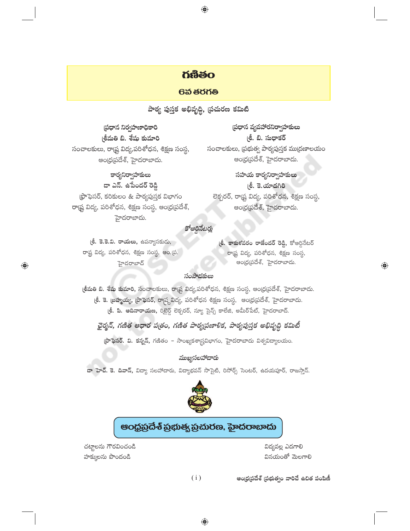## **06300**

 $\bigoplus$ 

#### 6వ తరగతి

పాఠ్య పుస్తక అభివృద్ధి, (పచురణ కమిటి

(పధాన నిర్వహణాధికారి (శీమతి బి. శేషు కుమారి సంచాలకులు, రాష్ట్ర విద్య,పరిశోధన, శిక్షణ సంస్థ, అంద్రప్రదేశ్, హైదరాబాదు.

### కార్యనిర్వాహకులు

డా ఎన్. ఉపేందర్ రెడ్డి  $\beta$ ఫాఫెసర్, కరికులం & పాఠ్యపుస్తక విభాగం రాష్ట్ర విద్య, పరిశోధన, శిక్షణ సంస్థ, ఆంధ్రప్రదేశ్, హైదరాబాదు.

ప్రధాన వ్యవహారనిర్వాహకులు (శీ. బి. సుధాకర్ సంచాలకులు, ప్రభుత్వ పాఠ్యపుస్తక ముద్రణాలయం అంధ్రప్రదేశ్, హైదరాబాదు.

సహయ కార్యనిర్వాహకులు (శీ. కె.యాదగిరి లెక్చరర్, రాష్ట్ర విద్య, పరిశోధన, శిక్షణ సంస్థ, అంధ్రప్రదేశ్, హైదరాబాదు.

### కోఆర్ధినేటర్లు

**్రీ. కె.కె.వి. రాయలు,** ఉపన్యాసకుడు, రాష్ట్ర విద్య, పరిశోధన, శిక్షణ సంస్థ, ఆం.[ప. హైదరాబాద్

 $\bigoplus$ 

 $e$ . కాకుళవరం రాజేందర్ రెడ్డి, కోఆర్దినేటర్ రాడ్<mark>ష</mark> విద్య, పరిశోధన, శిక్షణ సంస్థ, ఆంధ్రప్రదేశ్, హైదరాబాదు.

◈

#### సంపాదకులు

కీమతి వి. శేషు కుమారి, సంచాలకులు, రాష్ట్ర విద్య,పరిశోధన, శిక్షణ సంస్థ, ఆంధ్ర(పదేశ్, హైదరాబాదు. (శీ. కె. బ్ర<mark>హ్మయ్య, ప్రొఫెసర్, రా</mark>ష్ట్రవిద్య, పరిశోధన శిక్షణ సంస్థ, ఆంధ్రప్రదేశ్, హైదరాబాదు. <mark>తీ. పి. ఆదినారాయణ,</mark> రిటైర్డ్ లెక్చరర్, న్యూ సైన్స్ కాలేజి, అమీర్పేట్, హైదరాబాద్.

ఛైర్మన్, గణిత ఆధార పత్రం, గణిత పాఠ్యప్రణాళిక, పాఠ్యపుస్తక అభివృద్ధి కమిటీ

 $\mathfrak F$ ఫెసర్. వి. కన్నన్, గణితం – సాంఖ్యకశాస్ర్రవిభాగం, హైదరాబాదు విశ్వవిద్యాలయం.

### ముఖ్యసలహాదారు

డా హెచ్. కె. దివాన్, విద్యా సలహాదారు, విద్యాభవన్ సొసైటీ, రిసోర్స్ సెంటర్, ఉదయపూర్, రాజస్తాన్.



# ఆంధ్రప్రదేశ్ ప్రభుత్వ ప్రచురణ, హైదరాబాదు

చట్టాలను గౌరవించండి హక్కులను పొందండి

విద్యవల్ల ఎద<mark>గా</mark>లి వినయంతో మెలగాలి

 $(i)$ 

అంధ్రప్రదేశ్ (పభుత్వం వారిచే ఉచిత పంపిణీ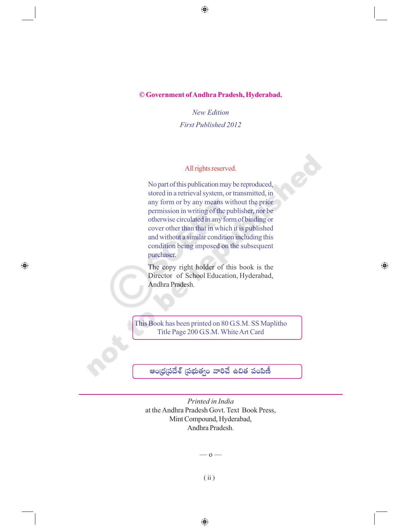$\bigoplus$ 

#### **© Government of Andhra Pradesh, Hyderabad.**

*New Edition First Published 2012*

#### All rights reserved.

No part of this publication may be reproduced, stored in a retrieval system, or transmitted, in any form or by any means without the prior permission in writing of the publisher, nor be otherwise circulated in any form of binding or cover other than that in which it is published and without a similar condition including this condition being imposed on the subsequent purchaser.

The copy right holder of this book is the Director of School Education, Hyderabad, Andhra Pradesh.

 $\bigoplus$ 

 $\bigoplus$ 

This Book has been printed on 80 G.S.M. SS Maplitho Title Page 200 G.S.M. White Art Card

ఆం(ధ(పదేశ్ (పభుత్వం వారిచే ఉచిత పంపిణీ

*Printed in India* at the Andhra Pradesh Govt. Text Book Press, Mint Compound, Hyderabad, Andhra Pradesh.

–– o ––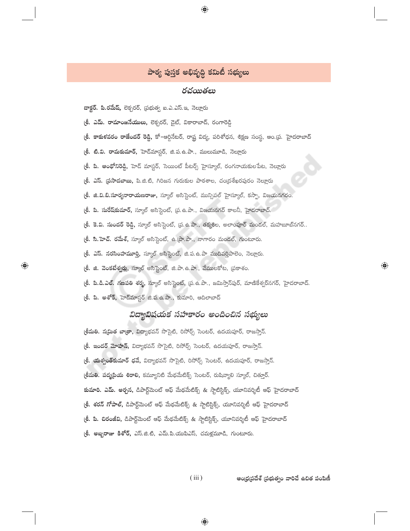## పాఠ్య పుస్తక అభివృద్ధి కమిటీ సభ్యులు

 $\bigcirc$ 

#### రచయితలు

డాక్టర్. పి.రమేష్, లెక్చరర్, స్రభుత్వ ఐ.ఎ.ఎస్.ఇ, నెల్లూరు

(తీ. ఎమ్. రామాంజనేయులు, లెక్చరర్, డైట్, వికారాబాద్, రంగారెడ్డి

l**శీ. కాకుకవరం రాజేందర్ రెడ్డి,** కో–ఆర్డినేటర్, రాష్ట్ర విద్య, పరిశోధన, శిక్షణ సంస్థ, ఆం.[ప. హైదరాబాద్

(తీ. టి.వి. రామకుమార్, హెడ్*మా*స్టర్, జి.ప. ఉ.పా., ములుమూడి, నెల్లూరు

(శీ. పి. ఆంథోనిరెడ్డి, హెడ్ మాస్టర్, సెయింట్ పీటర్స్ హైస్కూల్, రంగనాయకులపేట, నెల్లూరు

(లీ. ఎస్. (పసాదబాబు, పి.జి.టి, గిరిజన గురుకుల పాఠశాల, చంద్రశేఖరపురం నెల్లూరు

(తీ. జి.వి.బి.సూర్యనారాయణరాజు, స్కూల్ అసిస్టెంట్, మున్సిపల్ హైస్కూల్, కస్పా, విజయనగరం.

(తీ. పి. సురేష్కుమార్, స్కూల్ అసిస్టెంట్, ప్ర. ఉ.పా., విజయనగర్ కాలనీ, హైదరాబాద్.

(శీ. కె.వి. సుందర్ రెడ్డి, స్కూల్ అసిస్టెంట్, (ప. ఉ.పా., తక్కశిల, అలాంపూర్ మండల్, మహబూబ్నగర్..

(శీ. సి.హెచ్. రమేశ్, స్మూల్ అసిస్టెంట్, ఉ.(పా.పా., నాగారం మండల్, గుంటూరు.

(<mark>శీ. ఎస్. నరసింహమూర్తి</mark>, స్మూల్ అసిస్టెంట్, జి.ప.ఉ.పా ముదివర్తిపాలెం, నెల్లూరు.

(శీ. జి. వెంకటేశ్వర్లు, స్కూల్ అసిస్టెంట్, జి.పా. ఉ.పా., వేములకోట, (పకాశం.

(<mark>లీ. పి.డి.ఎల్. గణపతి శర్మ,</mark> స్కూల్ అసిస్టెంట్, (ప.ఉ.పా., జమిస్తాన్పుర్, మాణికేశ్వర్నగర్, హైదరాబాద్.

(శీ. పి. అశోక్, హెద్మాస్టర్ జి.ప. ఉ.పా., కుమారి, ఆదిలాబాద్

 $\bigoplus$ 

## విద్యావిషయక సహకారం అందించిన సభ్యులు

(శీమతి. న(మిత బాత్రా, విద్యాభవన్ సొసైటి, రిసోర్స్ సెంటర్, ఉదయపూర్, రాజస్తాన్. (శీ. ఇందర్ మోహన్, విద్యాభవన్ సొసైటి, రిసోర్స్ సెంటర్, ఉదయపూర్, రాజస్తాన్. (తీ. యత్వంత్**కుమార్ ధవే,** విద్యాభవన్ సొసైటి, రిసోర్స్ సెంటర్, ఉదయపూర్, రాజస్తాన్. (శీమతి. పద్మ[పియ శిరాలి, కమ్యూనిటి మేథమేటిక్స్ సెంటర్, రుషివ్యాలి స్కూల్, చిత్కూర్. కుమారి. ఎమ్. అర్చన, డిపార్ట్మెంట్ ఆఫ్ మేథమేటిక్స్ & స్టాటిస్టిక్స్, యూనివర్శిటీ ఆఫ్ హైదరాబాద్ ్ర<mark>ీ. శరన్ గోపాల్,</mark> డిపార్ట్మెెంట్ ఆఫ్ మేథమేటిక్స్ & స్టాటిస్టిక్స్, యూనివర్శిటీ ఆఫ్ హైదరాబాద్ (శీ. పి. చిరంజీవి, డిపార్ట్మెంట్ ఆఫ్ మేథమేటిక్స్ & స్టాటిస్టిక్స్, యూనివర్శిటీ ఆఫ్ హైదరాబాద్ (శీ. అబ్బరాజు కిశోర్, ఎస్.జి.టి, ఎమ్.పి.యుపిఎస్, చమక్షమూడి, గుంటూరు.

> ఆంధ్రప్రదేశ్ (పభుత్వం వారిచే ఉచిత పంపిణీ  $(iii)$

 $\bigoplus$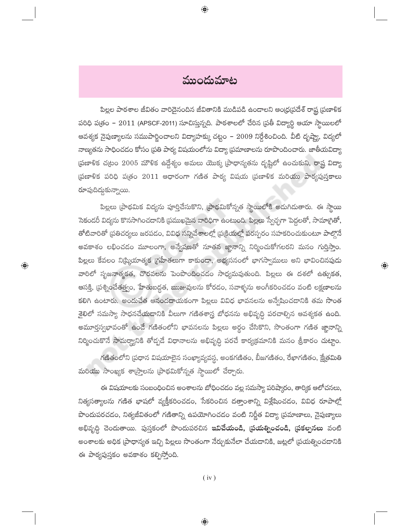ముందుమాట

 $\bigoplus$ 

పిల్లల పాఠశాల జీవితం వారిదైనందిన జీవితానికి ముడిపడి ఉందాలని ఆంధ్ర(పదేశ్ రాష్ట్ర (పణాళిక పరిధి పత్రం –  $2011$  (APSCF-2011) సూచిస్తున్నది. పాఠశాలలో చేరిన ప్రతీ విద్యార్థి ఆయా స్థాయిలలో ఆవశ్యక నైపుణ్యాలను సముపార్జించాలని విద్యాహక్కు చట్టం – 2009 నిర్దేశించింది. వీటి దృష్ట్యా, విద్యలో నాణ్యతను సాధించడం కోసం [పతి పాఠ్య విషయంలోను విద్యా [పమాణాలను రూపొందించారు. జాతీయవిద్యా (పణాళిక చ(టం 2005 మౌళిక ఉద్దేశ్యం అమలు యొక్క (పాధాన్యతను దృష్టిలో ఉంచుకుని, రాష్ట్ర విద్యా ద్రణాళిక పరిధి పత్రం 2011 ఆధారంగా గణిత పాఠ్య విషయ ద్రణాళిక మరియు పాఠ్యపుస్తకాలు రూపుదిద్దుకున్నాయి.

పిల్లలు (పాథమిక విద్యను పూర్తిచేసుకొని, (పాథమికోన్నత స్థాయిలోకి అదుగిదుతారు. ఈ స్థాయి సెకండరీ విద్యను కొనసాగించడానికి ప్రముఖమైన వారిధిగా ఉంటుంది. పిల్లలు స్వేచ్ఛగా పెద్దలతో, సామా<mark>గ</mark>్రితో, తోటివారితో (పతిచర్యలు జరపడం, వివిధ సన్నివేశాలల్లో (పక్రియల్లో పరస్పరం సహకరించుకుంటూ పాల్గొనే అవకాశం లభించడం మూలంగా, అన్వేషణతో నూతన జ్ఞానాన్ని నిర్మించుకోగలరని మనం గుర్తిస్తాం. పిల్లలు కేవలం నిట్కియాత్మక (గహీతలుగా కాకుండా, అభ్యసనంలో భాగస్వాములు అని భావించినపుడు వారిలో సృజనాత్మకత, చొరవలను పెంపొందించడం సాధ్యమవుతుంది. పిల్లలు ఈ దశలో ఉత్సుకత, ఆసక్తి, (పశ్నించేతత్త్వం, హేతుబద్ధత, ఋజువులను కోరడం, సవాళ్ళను అంగీకరించడం వంటి లక్షణాలను కలిగి ఉంటారు. అందుచేత ఆనందదాయకంగా పిల్లలు వివిధ భావనలను అన్వేషించడానికి తమ సొంత శైలిలో సమస్యా సాధనచేయడానికి వీలుగా గణితశాస్త్ర బోధనను అభివృద్ధి పరచాల్సిన ఆవశ్యకత <mark>ఉంది.</mark> అమూర్తస్వభావంతో ఉందే గణితంలోని భావనలను పిల్లలు అర్థం చేసికొని, సొంతంగా గణిత జ్ఞానాన్ని నిర్మించుకొనే సామర్థ్యానికి తోద్పడే విధానాలను అభివృద్ధి పరచే కార్యక్రమానికి మనం శ్రీకారం చుట్టాం.

 $\bigoplus$ 

 $\bigoplus$ 

గణితంలోని (పధాన విషయాలైన సంఖ్యావ్యవస్థ, అంకగణితం, బీజగణితం, రేఖాగణితం, క్షేత్రమితి మరియు సాంఖ్యక శా(స్తాలను (పాథమికోన్నత స్థాయిలో చేర్చారు.

ఈ విషయాలకు సంబంధించిన అంశాలను బోధించడం వల్ల సమస్యా పరిష్కారం, తార్కిక ఆలోచనలు, నిత్యసత్యాలను గణిత భాషలో వ్యక్తీకరించడం, సేకరించిన దత్తాంశాన్ని విశ్లేషించడం, వివిధ రూపాల్లో పొందుపరచడం, నిత్యజీవితంలో గణితాన్ని ఉపయోగించడం వంటి నిర్ణీత విద్యా (పమాణాలు, నైపుణ్యాలు అభివృద్ధి చెందుతాయి. పుస్తకంలో పొందుపరచిన <mark>ఇవిచేయండి, (పయత్నించండి, (పకల్పనలు</mark> వంటి అంశాలకు అధిక (పాధాన్యత ఇచ్చి పిల్లలు సొంతంగా నేర్చుకునేలా చేయడానికి, జట్లలో (పయత్నించడానికి ఈ పాఠ్యపుస్తకం అవకాశం కల్పిస్తోంది.

 $(iv)$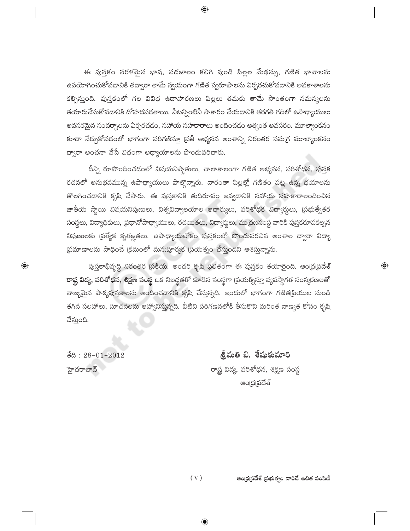ఈ పుస్తకం సరళమైన భాష, పదజాలం కలిగి వుండి పిల్లల మేథస్సు, గణిత భావాలను ఉపయోగించుకోవడానికి తద్వారా తామే స్వయంగా గణిత స్వరూపాలను ఏర్పరచుకోవడానికి అవకాశాలను కల్పిస్తుంది. పుస్తకంలో గల వివిధ ఉదాహరణలు పిల్లలు తమకు తామే సొంతంగా సమస్యలను తయారుచేసుకోవదానికి దోహదపడతాయి. వీటన్నింటినీ సాకారం చేయడానికి తరగతి గదిలో ఉపాధ్యాయులు అవసరమైన సందర్భాలను ఏర్పరచడం, సహాయ సహకారాలు అందించడం అత్యంత అవసరం. మూల్యాంకనం కూడా నేర్చుకోవడంలో భాగంగా పరిగణిస్తూ (పతీ అభ్యసన అంశాన్ని నిరంతర సమ(గ మూల్యాంకనం ద్వారా అంచనా వేసే విధంగా అధ్యాయాలను పొందుపరిచారు.

 $\bigcirc$ 

దీన్ని రూపొందించడంలో విషయనిష్ణాతులు, చాలాకాలంగా గణిత అభ్యసన, పరిశోధన, పుస్తక రచనలో అనుభవమున్న ఉపాధ్యాయులు పాల్గొన్నారు. వారంతా పిల్లల్లో గణితం పట్ల ఉన్న భయాలను తొలగించడానికి కృషి చేసారు. ఈ పుస్తకానికి తుదిరూపం ఇవ్వడానికి సహాయ సహకారాలందించిన జాతీయ స్థాయి విషయనిపుణులు, విశ్వవిద్యాలయాల ఆచార్యులు, పరిశోధక విద్యార్థులు, (పభుత్వేతర సంస్థలు, విద్యాధికులు, ప్రధానోపాధ్యాయులు, రచయితలు, విద్యార్థలు, ముద్రణసంస్థ వారికి పుస్తకరూపకల్పన నిపుణులకు (పత్యేక కృతజ్ఞతలు. ఉపాధ్యాయలోకం పుస్తకంలో పొందుపరచిన అంశాల ద్వారా విద్యా ప్రమాణాలను సాధించే క్రమంలో మన:పూర్వక ప్రయత్నం చేస్తుందని ఆశిస్తున్నాను.

పుస్తకాభివృద్ధి నిరంతర (పకియ. అందరి కృషి ఫలితంగా ఈ పుస్తకం తయారైంది. ఆంధ్ర(పదేశ్ **రాష్ట విద్య, పరిశోధన, శిక్షణ సంస్థ** ఒక నిబద్ధతతో కూడిన సంస్థగా (పయత్నిస్తూ వ్యవస్థాగత సంస్కరణలతో నాణ్యమైన పాఠ్యపుస్తకాలను అందించడానికి కృషి చేస్తున్నది. ఇందులో భాగంగా గణిత[పియుల నుండి తగిన సలహాలు, సూచనలను ఆహ్వానిస్తున్నది. వీటిని పరిగణనలోకి తీసుకొని మరింత నాణ్యత కోసం కృషి చేస్తుంది.

ම්යි : 28-01-2012 హైదరాబాద్

 $\bigoplus$ 

శ్రీమతి బి. శేషుకుమారి రాష్ట్ర విద్య, పరిశోధన, శిక్షణ సంస్థ అంద్ర(పదేశ్

 $\bigoplus$ 

 $(v)$ ఆంధ్రప్రదేశ్ ప్రభుత్వం వారిచే ఉచిత పంపిణీ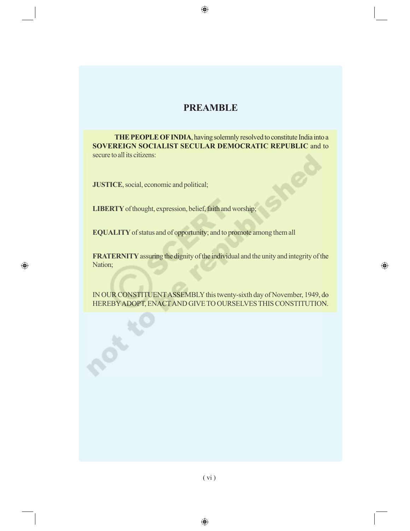## **PREAMBLE**

 $\bigoplus$ 

**THE PEOPLE OF INDIA**, having solemnly resolved to constitute India into a **SOVEREIGN SOCIALIST SECULAR DEMOCRATIC REPUBLIC** and to secure to all its citizens:

**JUSTICE**, social, economic and political;

 $\bigoplus$ 

**LIBERTY** of thought, expression, belief, faith and worship;

**EQUALITY** of status and of opportunity; and to promote among them all

**FRATERNITY** assuring the dignity of the individual and the unity and integrity of the Nation;

 $\bigoplus$ 

IN OUR CONSTITUENT ASSEMBLY this twenty-sixth day of November, 1949, do HEREBY ADOPT, ENACT AND GIVE TO OURSELVES THIS CONSTITUTION.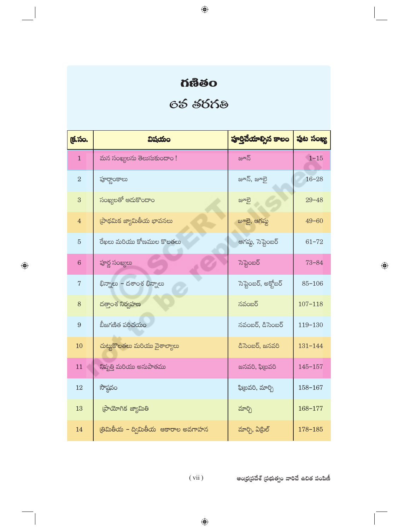# **ด้ซื้อ**

 $\bigoplus$ 

# 65 5663

| క్ర.సం.        | విషయం                               | పూర్తిచేయాల్సిన కాలం | పుట సంఖ్య   |
|----------------|-------------------------------------|----------------------|-------------|
| $\mathbf{1}$   | మన సంఖ్యలను తెలుసుకుందాం!           | జూన్                 | $1 - 15$    |
| $\overline{2}$ | ఫూర్హాంకాలు                         | జూన్, జూలై           | $16 - 28$   |
| 3              | సంఖ్యలతో ఆదుకొందాం                  | జూలై                 | $29 - 48$   |
| $\overline{4}$ | ప్రాథమిక జ్యామితీయ భావనలు           | జూలై, ఆగష్ట          | $49 - 60$   |
| $\overline{5}$ | రేఖలు మరియు కోణముల కొలతలు           | ఆగష్ట, సెప్టెంబర్    | $61 - 72$   |
| $\overline{6}$ | పూర్ణ సంఖ్యలు                       | సెప్టెంబర్           | $73 - 84$   |
| $\overline{7}$ | భిన్నాలు – దశాంశ భిన్నాలు           | సెప్టెంబర్, అక్తోబర్ | $85 - 106$  |
| 8              | దత్తాంశ నిర్వహణ                     | నవంబర్               | $107 - 118$ |
| 9              | బీజగణిత పరిచయం                      | నవంబర్, డిసెంబర్     | 119-130     |
| 10             | చుట్టుకొలతలు మరియు వైశాల్యాలు       | డిసెంబర్, జనవరి      | $131 - 144$ |
| 11             | నిష్పత్తి మరియు అనుపాతము            | జనవరి, ఫిబ్రవరి      | $145 - 157$ |
| 12             | సౌష్ఠవం                             | ఫి(బవరి, మార్చి      | 158-167     |
| 13             | ప్రాయోగిక జ్యామితి                  | మార్చి               | 168-177     |
| 14             | త్రిమితీయ – ద్విమితీయ ఆకారాల అవగాహన | మార్చి, ఏ[్రిల్      | $178 - 185$ |

 $\bigoplus$ 

ఆంధ్రప్రదేశ్ (పభుత్వం వారిచే ఉచిత పంపిణీ

 $\bigoplus$